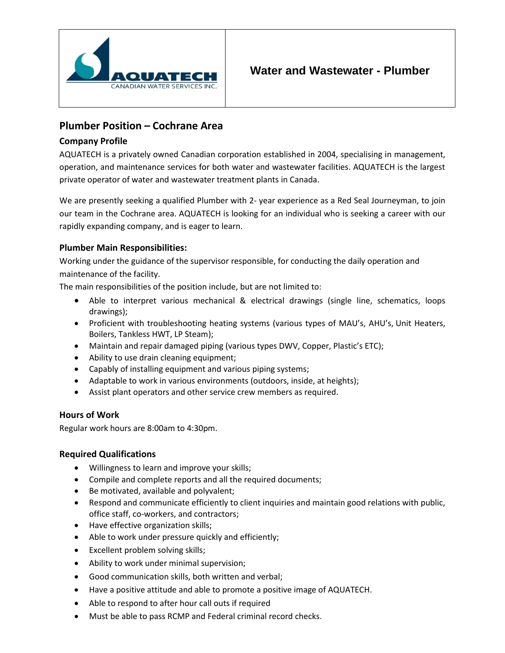

# **Plumber Position – Cochrane Area**

### **Company Profile**

AQUATECH is a privately owned Canadian corporation established in 2004, specialising in management, operation, and maintenance services for both water and wastewater facilities. AQUATECH is the largest private operator of water and wastewater treatment plants in Canada.

We are presently seeking a qualified Plumber with 2- year experience as a Red Seal Journeyman, to join our team in the Cochrane area. AQUATECH is looking for an individual who is seeking a career with our rapidly expanding company, and is eager to learn.

## **Plumber Main Responsibilities:**

Working under the guidance of the supervisor responsible, for conducting the daily operation and maintenance of the facility.

The main responsibilities of the position include, but are not limited to:

- Able to interpret various mechanical & electrical drawings (single line, schematics, loops drawings);
- Proficient with troubleshooting heating systems (various types of MAU's, AHU's, Unit Heaters, Boilers, Tankless HWT, LP Steam);
- Maintain and repair damaged piping (various types DWV, Copper, Plastic's ETC);
- Ability to use drain cleaning equipment;
- Capably of installing equipment and various piping systems;
- Adaptable to work in various environments (outdoors, inside, at heights);
- Assist plant operators and other service crew members as required.

## **Hours of Work**

Regular work hours are 8:00am to 4:30pm.

### **Required Qualifications**

- Willingness to learn and improve your skills;
- Compile and complete reports and all the required documents;
- Be motivated, available and polyvalent;
- Respond and communicate efficiently to client inquiries and maintain good relations with public, office staff, co-workers, and contractors;
- Have effective organization skills;
- Able to work under pressure quickly and efficiently;
- Excellent problem solving skills;
- Ability to work under minimal supervision;
- Good communication skills, both written and verbal;
- Have a positive attitude and able to promote a positive image of AQUATECH.
- Able to respond to after hour call outs if required
- Must be able to pass RCMP and Federal criminal record checks.